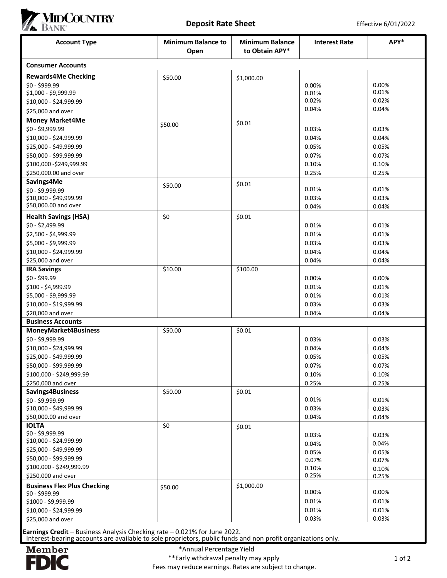

|                                                                    |                                   |                                          |                      | Effective 6/01/2022 |  |
|--------------------------------------------------------------------|-----------------------------------|------------------------------------------|----------------------|---------------------|--|
| <b>Account Type</b>                                                | <b>Minimum Balance to</b><br>Open | <b>Minimum Balance</b><br>to Obtain APY* | <b>Interest Rate</b> | APY*                |  |
| <b>Consumer Accounts</b>                                           |                                   |                                          |                      |                     |  |
| <b>Rewards4Me Checking</b>                                         | \$50.00                           | \$1,000.00                               |                      |                     |  |
| \$0 - \$999.99<br>\$1,000 - \$9,999.99                             |                                   |                                          | 0.00%<br>0.01%       | 0.00%<br>0.01%      |  |
| \$10,000 - \$24,999.99                                             |                                   |                                          | 0.02%                | 0.02%               |  |
| \$25,000 and over                                                  |                                   |                                          | 0.04%                | 0.04%               |  |
| <b>Money Market4Me</b>                                             |                                   | \$0.01                                   |                      |                     |  |
| \$0 - \$9,999.99                                                   | \$50.00                           |                                          | 0.03%                | 0.03%               |  |
| \$10,000 - \$24,999.99                                             |                                   |                                          | 0.04%                | 0.04%               |  |
| \$25,000 - \$49,999.99                                             |                                   |                                          | 0.05%                | 0.05%               |  |
| \$50,000 - \$99,999.99                                             |                                   |                                          | 0.07%                | 0.07%               |  |
| \$100,000 - \$249,999.99<br>\$250,000.00 and over                  |                                   |                                          | 0.10%<br>0.25%       | 0.10%<br>0.25%      |  |
| Savings4Me                                                         |                                   |                                          |                      |                     |  |
| \$0 - \$9,999.99                                                   | \$50.00                           | \$0.01                                   | 0.01%                | 0.01%               |  |
| \$10,000 - \$49,999.99                                             |                                   |                                          | 0.03%                | 0.03%               |  |
| \$50,000.00 and over                                               |                                   |                                          | 0.04%                | 0.04%               |  |
| <b>Health Savings (HSA)</b>                                        | \$0                               | \$0.01                                   |                      |                     |  |
| \$0 - \$2,499.99                                                   |                                   |                                          | 0.01%                | 0.01%               |  |
| \$2,500 - \$4,999.99<br>\$5,000 - \$9,999.99                       |                                   |                                          | 0.01%<br>0.03%       | 0.01%<br>0.03%      |  |
| \$10,000 - \$24,999.99                                             |                                   |                                          | 0.04%                | 0.04%               |  |
| \$25,000 and over                                                  |                                   |                                          | 0.04%                | 0.04%               |  |
| <b>IRA Savings</b>                                                 | \$10.00                           | \$100.00                                 |                      |                     |  |
| $$0 - $99.99$                                                      |                                   |                                          | 0.00%                | 0.00%               |  |
| \$100 - \$4,999.99                                                 |                                   |                                          | 0.01%                | 0.01%               |  |
| \$5,000 - \$9,999.99                                               |                                   |                                          | 0.01%                | 0.01%               |  |
| \$10,000 - \$19,999.99                                             |                                   |                                          | 0.03%                | 0.03%               |  |
| \$20,000 and over<br><b>Business Accounts</b>                      |                                   |                                          | 0.04%                | 0.04%               |  |
| <b>MoneyMarket4Business</b>                                        | \$50.00                           | \$0.01                                   |                      |                     |  |
| \$0 - \$9,999.99                                                   |                                   |                                          | 0.03%                | 0.03%               |  |
| \$10,000 - \$24,999.99                                             |                                   |                                          | 0.04%                | 0.04%               |  |
| \$25,000 - \$49,999.99                                             |                                   |                                          | 0.05%                | 0.05%               |  |
| \$50,000 - \$99,999.99                                             |                                   |                                          | 0.07%                | 0.07%               |  |
| \$100,000 - \$249,999.99                                           |                                   |                                          | 0.10%                | 0.10%               |  |
| \$250,000 and over<br>Savings4Business                             | \$50.00                           | \$0.01                                   | 0.25%                | 0.25%               |  |
| \$0 - \$9,999.99                                                   |                                   |                                          | 0.01%                | 0.01%               |  |
| \$10,000 - \$49,999.99                                             |                                   |                                          | 0.03%                | 0.03%               |  |
| \$50,000.00 and over                                               |                                   |                                          | 0.04%                | 0.04%               |  |
| <b>IOLTA</b>                                                       | \$0                               | \$0.01                                   |                      |                     |  |
| \$0 - \$9,999.99<br>\$10,000 - \$24,999.99                         |                                   |                                          | 0.03%                | 0.03%               |  |
| \$25,000 - \$49,999.99                                             |                                   |                                          | 0.04%<br>0.05%       | 0.04%<br>0.05%      |  |
| \$50,000 - \$99,999.99                                             |                                   |                                          | 0.07%                | 0.07%               |  |
| \$100,000 - \$249,999.99                                           |                                   |                                          | 0.10%                | 0.10%               |  |
| \$250,000 and over                                                 |                                   |                                          | 0.25%                | 0.25%               |  |
| <b>Business Flex Plus Checking</b>                                 | \$50.00                           | \$1,000.00                               |                      | 0.00%               |  |
| \$0 - \$999.99                                                     |                                   |                                          | 0.00%<br>0.01%       | 0.01%               |  |
|                                                                    |                                   |                                          |                      |                     |  |
|                                                                    |                                   |                                          |                      |                     |  |
| \$1000 - \$9,999.99<br>\$10,000 - \$24,999.99<br>\$25,000 and over |                                   |                                          | 0.01%<br>0.03%       | 0.01%<br>0.03%      |  |

Earnings Credit – Business Analysis Checking rate – 0.021% for June 2022. Interest-bearing accounts are available to sole proprietors, public funds and non profit organizations only.



Fees may reduce earnings. Rates are subject to change.